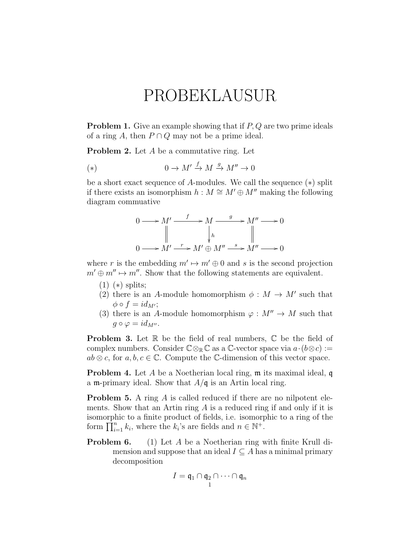## PROBEKLAUSUR

**Problem 1.** Give an example showing that if P, Q are two prime ideals of a ring A, then  $P \cap Q$  may not be a prime ideal.

**Problem 2.** Let A be a commutative ring. Let

$$
(*) \qquad \qquad 0 \to M' \xrightarrow{f} M \xrightarrow{g} M'' \to 0
$$

be a short exact sequence of A-modules. We call the sequence (∗) split if there exists an isomorphism  $h : M \cong M' \oplus M''$  making the following diagram commuative

$$
0 \longrightarrow M' \xrightarrow{f} M \xrightarrow{g} M'' \longrightarrow 0
$$
  
\n
$$
\parallel \qquad \qquad \downarrow_{h} \qquad \qquad \parallel
$$
  
\n
$$
0 \longrightarrow M' \xrightarrow{r} M' \oplus M'' \xrightarrow{s} M'' \longrightarrow 0
$$

where r is the embedding  $m' \mapsto m' \oplus 0$  and s is the second projection  $m' \oplus m'' \mapsto m''$ . Show that the following statements are equivalent.

- $(1)$  (\*) splits;
- (2) there is an A-module homomorphism  $\phi : M \to M'$  such that  $\phi \circ f = id_{M'};$
- (3) there is an A-module homomorphism  $\varphi : M'' \to M$  such that  $g \circ \varphi = id_{M''}.$

**Problem 3.** Let  $\mathbb R$  be the field of real numbers,  $\mathbb C$  be the field of complex numbers. Consider  $\mathbb{C} \otimes_{\mathbb{R}} \mathbb{C}$  as a  $\mathbb{C}\text{-vector space via } a \cdot (b \otimes c) :=$  $ab \otimes c$ , for  $a, b, c \in \mathbb{C}$ . Compute the C-dimension of this vector space.

**Problem 4.** Let A be a Noetherian local ring, m its maximal ideal, q a m-primary ideal. Show that  $A/\mathfrak{q}$  is an Artin local ring.

**Problem 5.** A ring A is called reduced if there are no nilpotent elements. Show that an Artin ring  $A$  is a reduced ring if and only if it is isomorphic to a finite product of fields, i.e. isomorphic to a ring of the form  $\prod_{i=1}^{n} k_i$ , where the  $k_i$ 's are fields and  $n \in \mathbb{N}^+$ .

**Problem 6.** (1) Let A be a Noetherian ring with finite Krull dimension and suppose that an ideal  $I \subseteq A$  has a minimal primary decomposition

$$
I=\mathfrak{q}_1\cap\mathfrak{q}_2\cap\cdots\cap\mathfrak{q}_n
$$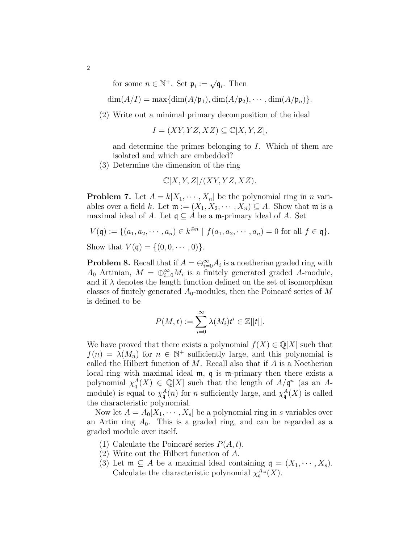for some  $n \in \mathbb{N}^+$ . Set  $\mathfrak{p}_i := \sqrt{\mathfrak{q}_i}$ . Then

 $\dim(A/I) = \max\{\dim(A/\mathfrak{p}_1), \dim(A/\mathfrak{p}_2), \cdots, \dim(A/\mathfrak{p}_n)\}.$ 

(2) Write out a minimal primary decomposition of the ideal

$$
I = (XY, YZ, XZ) \subseteq \mathbb{C}[X, Y, Z],
$$

and determine the primes belonging to I. Which of them are isolated and which are embedded?

(3) Determine the dimension of the ring

$$
\mathbb{C}[X,Y,Z]/(XY,YZ,XZ).
$$

**Problem 7.** Let  $A = k[X_1, \dots, X_n]$  be the polynomial ring in *n* variables over a field k. Let  $\mathfrak{m} := (X_1, X_2, \cdots, X_n) \subseteq A$ . Show that  $\mathfrak{m}$  is a maximal ideal of A. Let  $\mathfrak{q} \subseteq A$  be a m-primary ideal of A. Set

$$
V(\mathfrak{q}) := \{ (a_1, a_2, \cdots, a_n) \in k^{\oplus n} \mid f(a_1, a_2, \cdots, a_n) = 0 \text{ for all } f \in \mathfrak{q} \}.
$$

Show that  $V(q) = \{(0, 0, \dots, 0)\}.$ 

**Problem 8.** Recall that if  $A = \bigoplus_{i=0}^{\infty} A_i$  is a noetherian graded ring with A<sub>0</sub> Artinian,  $M = \bigoplus_{i=0}^{\infty} M_i$  is a finitely generated graded A-module, and if  $\lambda$  denotes the length function defined on the set of isomorphism classes of finitely generated  $A_0$ -modules, then the Poincaré series of M is defined to be

$$
P(M,t) := \sum_{i=0}^{\infty} \lambda(M_i)t^i \in \mathbb{Z}[[t]].
$$

We have proved that there exists a polynomial  $f(X) \in \mathbb{Q}[X]$  such that  $f(n) = \lambda(M_n)$  for  $n \in \mathbb{N}^+$  sufficiently large, and this polynomial is called the Hilbert function of  $M$ . Recall also that if  $A$  is a Noetherian local ring with maximal ideal  $m$ , q is m-primary then there exists a polynomial  $\chi_q^A(X) \in \mathbb{Q}[X]$  such that the length of  $A/\mathfrak{q}^n$  (as an Amodule) is equal to  $\chi_q^A(n)$  for n sufficiently large, and  $\chi_q^A(X)$  is called the characteristic polynomial.

Now let  $A = A_0[X_1, \dots, X_s]$  be a polynomial ring in s variables over an Artin ring  $A_0$ . This is a graded ring, and can be regarded as a graded module over itself.

- (1) Calculate the Poincaré series  $P(A, t)$ .
- (2) Write out the Hilbert function of A.
- (3) Let  $\mathfrak{m} \subseteq A$  be a maximal ideal containing  $\mathfrak{q} = (X_1, \dots, X_s)$ . Calculate the characteristic polynomial  $\chi_{\mathfrak{q}}^{A_{\mathfrak{m}}}(X)$ .